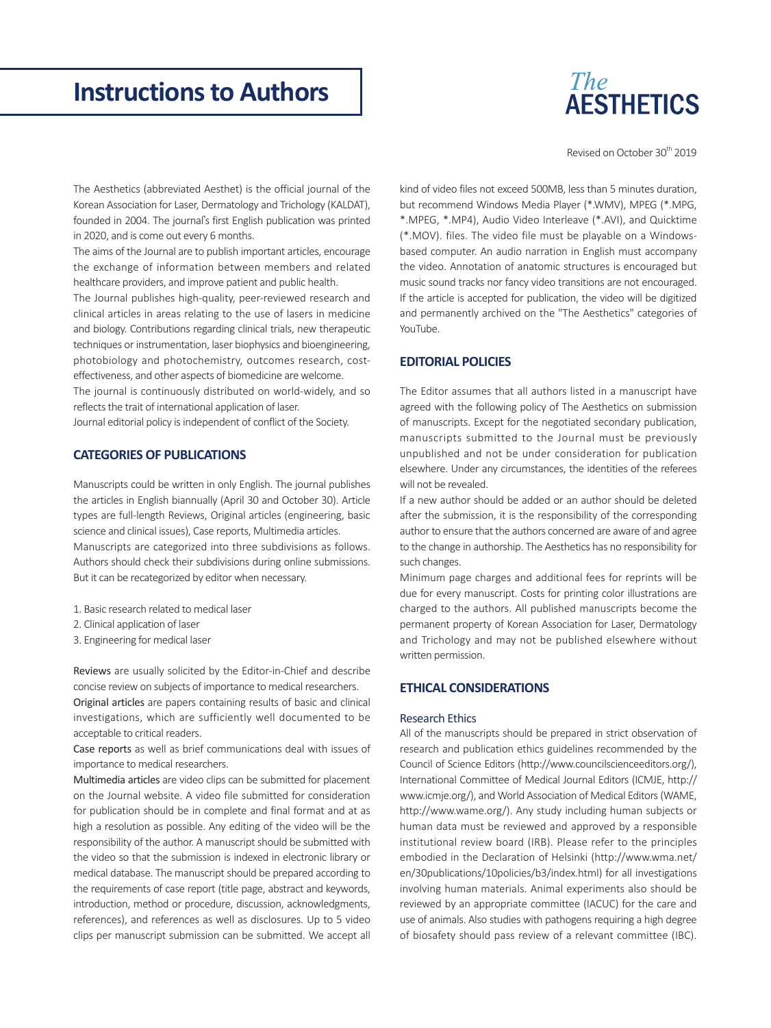

Revised on October 30<sup>th</sup> 2019

The Aesthetics (abbreviated Aesthet) is the official journal of the Korean Association for Laser, Dermatology and Trichology (KALDAT), founded in 2004. The journal's first English publication was printed in 2020, and is come out every 6 months.

The aims of the Journal are to publish important articles, encourage the exchange of information between members and related healthcare providers, and improve patient and public health.

The Journal publishes high-quality, peer-reviewed research and clinical articles in areas relating to the use of lasers in medicine and biology. Contributions regarding clinical trials, new therapeutic techniques or instrumentation, laser biophysics and bioengineering, photobiology and photochemistry, outcomes research, costeffectiveness, and other aspects of biomedicine are welcome.

The journal is continuously distributed on world-widely, and so reflects the trait of international application of laser.

Journal editorial policy is independent of conflict of the Society.

# **CATEGORIES OF PUBLICATIONS**

Manuscripts could be written in only English. The journal publishes the articles in English biannually (April 30 and October 30). Article types are full-length Reviews, Original articles (engineering, basic science and clinical issues), Case reports, Multimedia articles. Manuscripts are categorized into three subdivisions as follows. Authors should check their subdivisions during online submissions. But it can be recategorized by editor when necessary.

- 1. Basic research related to medical laser
- 2. Clinical application of laser
- 3. Engineering for medical laser

Reviews are usually solicited by the Editor-in-Chief and describe concise review on subjects of importance to medical researchers.

Original articles are papers containing results of basic and clinical investigations, which are sufficiently well documented to be acceptable to critical readers.

Case reports as well as brief communications deal with issues of importance to medical researchers.

Multimedia articles are video clips can be submitted for placement on the Journal website. A video file submitted for consideration for publication should be in complete and final format and at as high a resolution as possible. Any editing of the video will be the responsibility of the author. A manuscript should be submitted with the video so that the submission is indexed in electronic library or medical database. The manuscript should be prepared according to the requirements of case report (title page, abstract and keywords, introduction, method or procedure, discussion, acknowledgments, references), and references as well as disclosures. Up to 5 video clips per manuscript submission can be submitted. We accept all

kind of video files not exceed 500MB, less than 5 minutes duration, but recommend Windows Media Player (\*.WMV), MPEG (\*.MPG, \*.MPEG, \*.MP4), Audio Video Interleave (\*.AVI), and Quicktime (\*.MOV). files. The video file must be playable on a Windowsbased computer. An audio narration in English must accompany the video. Annotation of anatomic structures is encouraged but music sound tracks nor fancy video transitions are not encouraged. If the article is accepted for publication, the video will be digitized and permanently archived on the "The Aesthetics" categories of YouTube.

# **EDITORIAL POLICIES**

The Editor assumes that all authors listed in a manuscript have agreed with the following policy of The Aesthetics on submission of manuscripts. Except for the negotiated secondary publication, manuscripts submitted to the Journal must be previously unpublished and not be under consideration for publication elsewhere. Under any circumstances, the identities of the referees will not be revealed.

If a new author should be added or an author should be deleted after the submission, it is the responsibility of the corresponding author to ensure that the authors concerned are aware of and agree to the change in authorship. The Aesthetics has no responsibility for such changes.

Minimum page charges and additional fees for reprints will be due for every manuscript. Costs for printing color illustrations are charged to the authors. All published manuscripts become the permanent property of Korean Association for Laser, Dermatology and Trichology and may not be published elsewhere without written permission.

## **ETHICAL CONSIDERATIONS**

### Research Ethics

All of the manuscripts should be prepared in strict observation of research and publication ethics guidelines recommended by the Council of Science Editors ([http://www.councilscienceeditors.org/\)](http://www.councilscienceeditors.org/), International Committee of Medical Journal Editors (ICMJE, [http://](http://www.icmje.org/) [www.icmje.org/](http://www.icmje.org/)), and World Association of Medical Editors (WAME, <http://www.wame.org/>). Any study including human subjects or human data must be reviewed and approved by a responsible institutional review board (IRB). Please refer to the principles embodied in the Declaration of Helsinki ([http://www.wma.net/](http://www.wma.net/en/30publications/10policies/b3/index.html) [en/30publications/10policies/b3/index.html\)](http://www.wma.net/en/30publications/10policies/b3/index.html) for all investigations involving human materials. Animal experiments also should be reviewed by an appropriate committee (IACUC) for the care and use of animals. Also studies with pathogens requiring a high degree of biosafety should pass review of a relevant committee (IBC).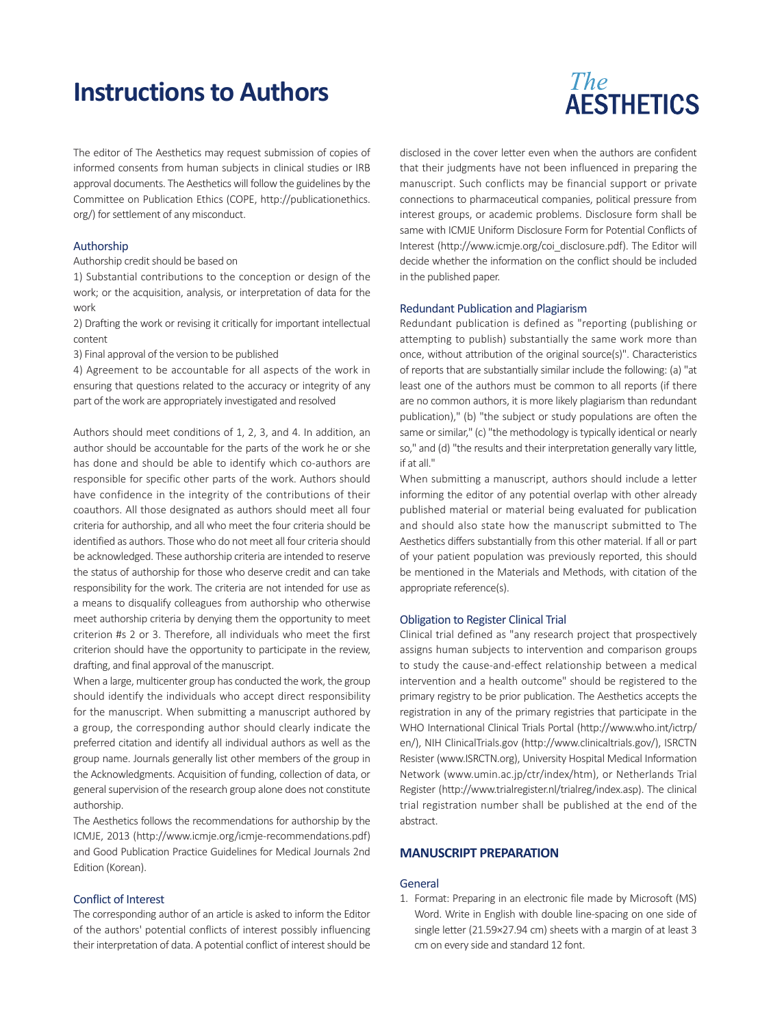The editor of The Aesthetics may request submission of copies of informed consents from human subjects in clinical studies or IRB approval documents. The Aesthetics will follow the guidelines by the Committee on Publication Ethics (COPE, [http://publicationethics.](http://publicationethics.org/) [org/](http://publicationethics.org/)) for settlement of any misconduct.

## Authorship

Authorship credit should be based on

1) Substantial contributions to the conception or design of the work; or the acquisition, analysis, or interpretation of data for the work

2) Drafting the work or revising it critically for important intellectual content

3) Final approval of the version to be published

4) Agreement to be accountable for all aspects of the work in ensuring that questions related to the accuracy or integrity of any part of the work are appropriately investigated and resolved

Authors should meet conditions of 1, 2, 3, and 4. In addition, an author should be accountable for the parts of the work he or she has done and should be able to identify which co-authors are responsible for specific other parts of the work. Authors should have confidence in the integrity of the contributions of their coauthors. All those designated as authors should meet all four criteria for authorship, and all who meet the four criteria should be identified as authors. Those who do not meet all four criteria should be acknowledged. These authorship criteria are intended to reserve the status of authorship for those who deserve credit and can take responsibility for the work. The criteria are not intended for use as a means to disqualify colleagues from authorship who otherwise meet authorship criteria by denying them the opportunity to meet criterion #s 2 or 3. Therefore, all individuals who meet the first criterion should have the opportunity to participate in the review, drafting, and final approval of the manuscript.

When a large, multicenter group has conducted the work, the group should identify the individuals who accept direct responsibility for the manuscript. When submitting a manuscript authored by a group, the corresponding author should clearly indicate the preferred citation and identify all individual authors as well as the group name. Journals generally list other members of the group in the Acknowledgments. Acquisition of funding, collection of data, or general supervision of the research group alone does not constitute authorship.

The Aesthetics follows the recommendations for authorship by the ICMJE, 2013 [\(http://www.icmje.org/icmje-recommendations.pdf\)](http://www.icmje.org/icmje-recommendations.pdf) and Good Publication Practice Guidelines for Medical Journals 2nd Edition (Korean).

## Conflict of Interest

The corresponding author of an article is asked to inform the Editor of the authors' potential conflicts of interest possibly influencing their interpretation of data. A potential conflict of interest should be

disclosed in the cover letter even when the authors are confident that their judgments have not been influenced in preparing the manuscript. Such conflicts may be financial support or private connections to pharmaceutical companies, political pressure from interest groups, or academic problems. Disclosure form shall be same with ICMJE Uniform Disclosure Form for Potential Conflicts of Interest ([http://www.icmje.org/coi\\_disclosure.pdf](http://www.icmje.org/coi_disclosure.pdf)). The Editor will

#### Redundant Publication and Plagiarism

in the published paper.

Redundant publication is defined as "reporting (publishing or attempting to publish) substantially the same work more than once, without attribution of the original source(s)". Characteristics of reports that are substantially similar include the following: (a) "at least one of the authors must be common to all reports (if there are no common authors, it is more likely plagiarism than redundant publication)," (b) "the subject or study populations are often the same or similar," (c) "the methodology is typically identical or nearly so," and (d) "the results and their interpretation generally vary little, if at all."

decide whether the information on the conflict should be included

When submitting a manuscript, authors should include a letter informing the editor of any potential overlap with other already published material or material being evaluated for publication and should also state how the manuscript submitted to The Aesthetics differs substantially from this other material. If all or part of your patient population was previously reported, this should be mentioned in the Materials and Methods, with citation of the appropriate reference(s).

#### Obligation to Register Clinical Trial

Clinical trial defined as "any research project that prospectively assigns human subjects to intervention and comparison groups to study the cause-and-effect relationship between a medical intervention and a health outcome" should be registered to the primary registry to be prior publication. The Aesthetics accepts the registration in any of the primary registries that participate in the WHO International Clinical Trials Portal (http://www.who.int/ictrp/ en/), NIH ClinicalTrials.gov [\(http://www.clinicaltrials.gov/](http://www.who.int/ictrp/en/)), ISRCTN Resister [\(www.ISRCTN.org](http://www.isrctn.org/)), University Hospital Medical Information Network ([www.umin.ac.jp/ctr/index/htm\)](http://www.umin.ac.jp/ctr/index/htm), or Netherlands Trial Register [\(http://www.trialregister.nl/trialreg/index.asp](http://www.trialregister.nl/trialreg/index.asp)). The clinical trial registration number shall be published at the end of the abstract.

### **MANUSCRIPT PREPARATION**

#### **General**

1. Format: Preparing in an electronic file made by Microsoft (MS) Word. Write in English with double line-spacing on one side of single letter (21.59×27.94 cm) sheets with a margin of at least 3 cm on every side and standard 12 font.

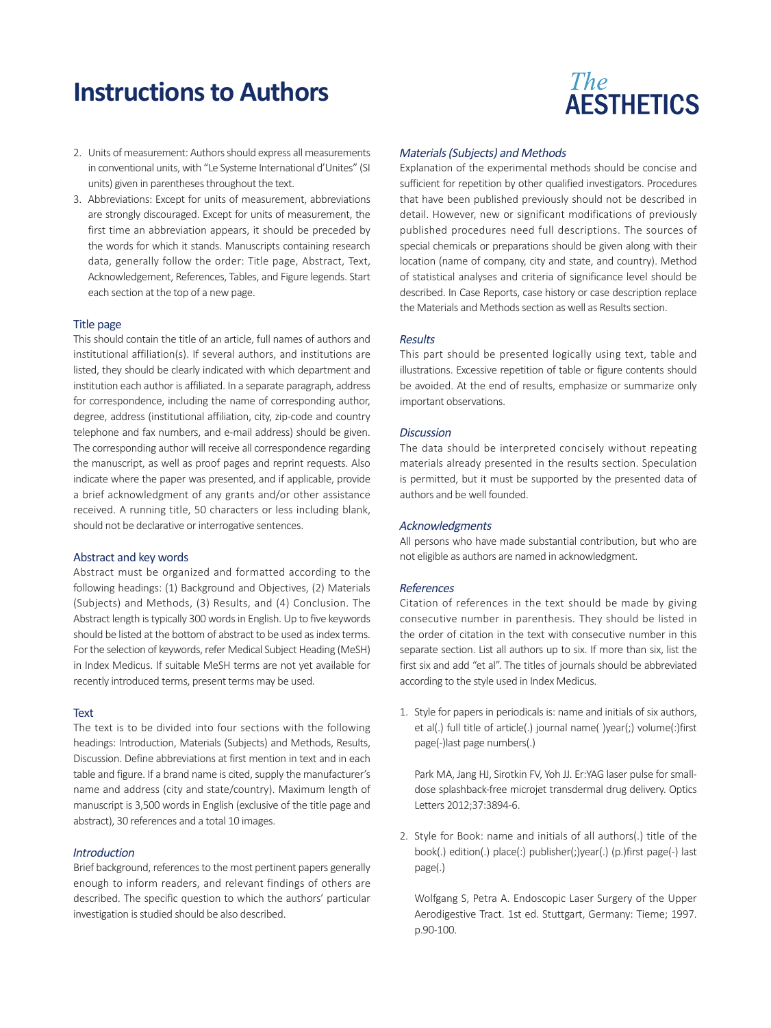- 2. Units of measurement: Authors should express all measurements in conventional units, with "Le Systeme International d'Unites" (SI units) given in parentheses throughout the text.
- 3. Abbreviations: Except for units of measurement, abbreviations are strongly discouraged. Except for units of measurement, the first time an abbreviation appears, it should be preceded by the words for which it stands. Manuscripts containing research data, generally follow the order: Title page, Abstract, Text, Acknowledgement, References, Tables, and Figure legends. Start each section at the top of a new page.

#### Title page

This should contain the title of an article, full names of authors and institutional affiliation(s). If several authors, and institutions are listed, they should be clearly indicated with which department and institution each author is affiliated. In a separate paragraph, address for correspondence, including the name of corresponding author, degree, address (institutional affiliation, city, zip-code and country telephone and fax numbers, and e-mail address) should be given. The corresponding author will receive all correspondence regarding the manuscript, as well as proof pages and reprint requests. Also indicate where the paper was presented, and if applicable, provide a brief acknowledgment of any grants and/or other assistance received. A running title, 50 characters or less including blank, should not be declarative or interrogative sentences.

#### Abstract and key words

Abstract must be organized and formatted according to the following headings: (1) Background and Objectives, (2) Materials (Subjects) and Methods, (3) Results, and (4) Conclusion. The Abstract length is typically 300 words in English. Up to five keywords should be listed at the bottom of abstract to be used as index terms. For the selection of keywords, refer Medical Subject Heading (MeSH) in Index Medicus. If suitable MeSH terms are not yet available for recently introduced terms, present terms may be used.

#### **Text**

The text is to be divided into four sections with the following headings: Introduction, Materials (Subjects) and Methods, Results, Discussion. Define abbreviations at first mention in text and in each table and figure. If a brand name is cited, supply the manufacturer's name and address (city and state/country). Maximum length of manuscript is 3,500 words in English (exclusive of the title page and abstract), 30 references and a total 10 images.

### **Introduction**

Brief background, references to the most pertinent papers generally enough to inform readers, and relevant findings of others are described. The specific question to which the authors' particular investigation is studied should be also described.

# **The AESTHETICS**

#### Materials (Subjects) and Methods

Explanation of the experimental methods should be concise and sufficient for repetition by other qualified investigators. Procedures that have been published previously should not be described in detail. However, new or significant modifications of previously published procedures need full descriptions. The sources of special chemicals or preparations should be given along with their location (name of company, city and state, and country). Method of statistical analyses and criteria of significance level should be described. In Case Reports, case history or case description replace the Materials and Methods section as well as Results section.

#### Results

This part should be presented logically using text, table and illustrations. Excessive repetition of table or figure contents should be avoided. At the end of results, emphasize or summarize only important observations.

#### **Discussion**

The data should be interpreted concisely without repeating materials already presented in the results section. Speculation is permitted, but it must be supported by the presented data of authors and be well founded.

### Acknowledgments

All persons who have made substantial contribution, but who are not eligible as authors are named in acknowledgment.

#### References

Citation of references in the text should be made by giving consecutive number in parenthesis. They should be listed in the order of citation in the text with consecutive number in this separate section. List all authors up to six. If more than six, list the first six and add "et al". The titles of journals should be abbreviated according to the style used in Index Medicus.

1. Style for papers in periodicals is: name and initials of six authors, et al(.) full title of article(.) journal name( )year(;) volume(:)first page(-)last page numbers(.)

Park MA, Jang HJ, Sirotkin FV, Yoh JJ. Er:YAG laser pulse for smalldose splashback-free microjet transdermal drug delivery. Optics Letters 2012;37:3894-6.

2. Style for Book: name and initials of all authors(.) title of the book(.) edition(.) place(:) publisher(;)year(.) (p.)first page(-) last page(.)

Wolfgang S, Petra A. Endoscopic Laser Surgery of the Upper Aerodigestive Tract. 1st ed. Stuttgart, Germany: Tieme; 1997. p.90-100.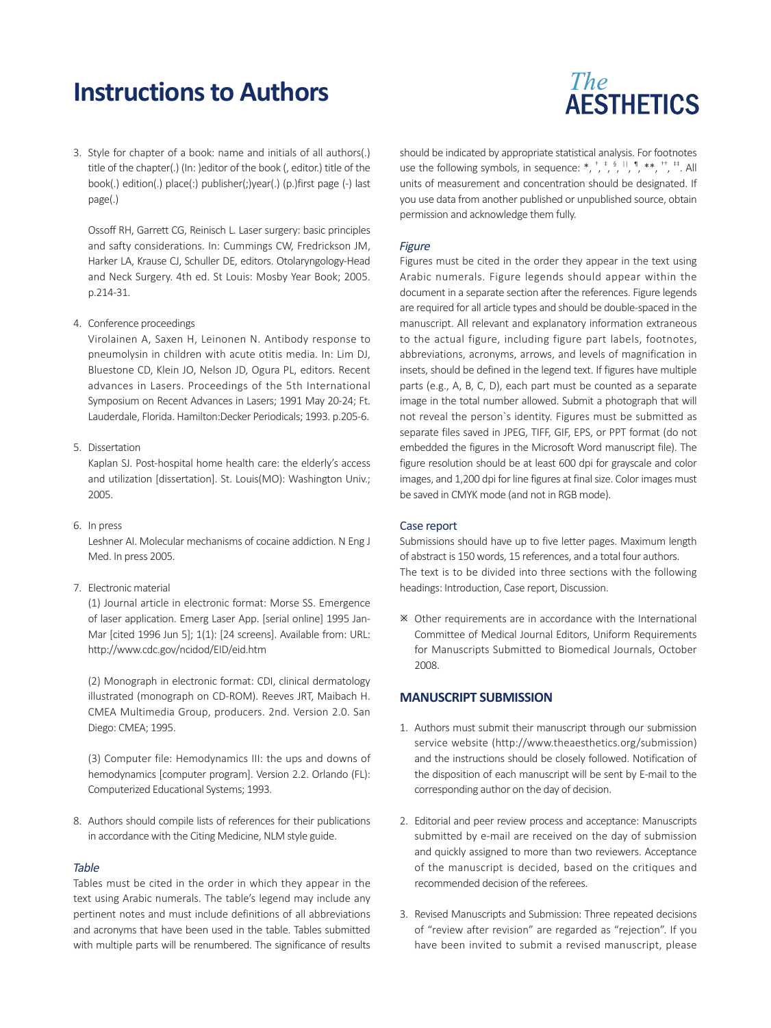

3. Style for chapter of a book: name and initials of all authors(.) title of the chapter(.) (In: )editor of the book (, editor.) title of the book(.) edition(.) place(:) publisher(;)year(.) (p.)first page (-) last page(.)

Ossoff RH, Garrett CG, Reinisch L. Laser surgery: basic principles and safty considerations. In: Cummings CW, Fredrickson JM, Harker LA, Krause CJ, Schuller DE, editors. Otolaryngology-Head and Neck Surgery. 4th ed. St Louis: Mosby Year Book; 2005. p.214-31.

4. Conference proceedings

Virolainen A, Saxen H, Leinonen N. Antibody response to pneumolysin in children with acute otitis media. In: Lim DJ, Bluestone CD, Klein JO, Nelson JD, Ogura PL, editors. Recent advances in Lasers. Proceedings of the 5th International Symposium on Recent Advances in Lasers; 1991 May 20-24; Ft. Lauderdale, Florida. Hamilton:Decker Periodicals; 1993. p.205-6.

## 5. Dissertation

Kaplan SJ. Post-hospital home health care: the elderly's access and utilization [dissertation]. St. Louis(MO): Washington Univ.; 2005.

6. In press

Leshner AI. Molecular mechanisms of cocaine addiction. N Eng J Med. In press 2005.

7. Electronic material

(1) Journal article in electronic format: Morse SS. Emergence of laser application. Emerg Laser App. [serial online] 1995 Jan-Mar [cited 1996 Jun 5]; 1(1): [24 screens]. Available from: URL: http://www.cdc.gov/ncidod/EID/eid.htm

(2) Monograph in electronic format: CDI, clinical dermatology illustrated (monograph on CD-ROM). Reeves JRT, Maibach H. CMEA Multimedia Group, producers. 2nd. Version 2.0. San Diego: CMEA; 1995.

(3) Computer file: Hemodynamics III: the ups and downs of hemodynamics [computer program]. Version 2.2. Orlando (FL): Computerized Educational Systems; 1993.

8. Authors should compile lists of references for their publications in accordance with the Citing Medicine, NLM style guide.

#### **Table**

Tables must be cited in the order in which they appear in the text using Arabic numerals. The table's legend may include any pertinent notes and must include definitions of all abbreviations and acronyms that have been used in the table. Tables submitted with multiple parts will be renumbered. The significance of results

should be indicated by appropriate statistical analysis. For footnotes use the following symbols, in sequence: \*,  $\frac{1}{2}$ ,  $\frac{1}{2}$ ,  $\frac{1}{2}$ ,  $\frac{1}{2}$ ,  $\frac{1}{2}$ ,  $\frac{1}{2}$ ,  $\frac{1}{2}$ ,  $\frac{1}{2}$ ,  $\frac{1}{2}$ units of measurement and concentration should be designated. If you use data from another published or unpublished source, obtain permission and acknowledge them fully.

#### Figure

Figures must be cited in the order they appear in the text using Arabic numerals. Figure legends should appear within the document in a separate section after the references. Figure legends are required for all article types and should be double-spaced in the manuscript. All relevant and explanatory information extraneous to the actual figure, including figure part labels, footnotes, abbreviations, acronyms, arrows, and levels of magnification in insets, should be defined in the legend text. If figures have multiple parts (e.g., A, B, C, D), each part must be counted as a separate image in the total number allowed. Submit a photograph that will not reveal the person`s identity. Figures must be submitted as separate files saved in JPEG, TIFF, GIF, EPS, or PPT format (do not embedded the figures in the Microsoft Word manuscript file). The figure resolution should be at least 600 dpi for grayscale and color images, and 1,200 dpi for line figures at final size. Color images must be saved in CMYK mode (and not in RGB mode).

#### Case report

Submissions should have up to five letter pages. Maximum length of abstract is 150 words, 15 references, and a total four authors. The text is to be divided into three sections with the following headings: Introduction, Case report, Discussion.

 Other requirements are in accordance with the International Committee of Medical Journal Editors, Uniform Requirements for Manuscripts Submitted to Biomedical Journals, October 2008.

## **MANUSCRIPT SUBMISSION**

- 1. Authors must submit their manuscript through our submission service website (http://www.theaesthetics.org/submission) and the instructions should be closely followed. Notification of the disposition of each manuscript will be sent by E-mail to the corresponding author on the day of decision.
- 2. Editorial and peer review process and acceptance: Manuscripts submitted by e-mail are received on the day of submission and quickly assigned to more than two reviewers. Acceptance of the manuscript is decided, based on the critiques and recommended decision of the referees.
- 3. Revised Manuscripts and Submission: Three repeated decisions of "review after revision" are regarded as "rejection". If you have been invited to submit a revised manuscript, please